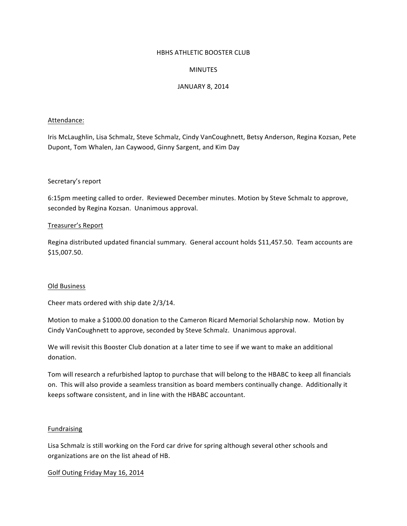#### HBHS ATHLETIC BOOSTER CLUB

# MINUTES

# **JANUARY 8, 2014**

#### Attendance:

Iris McLaughlin, Lisa Schmalz, Steve Schmalz, Cindy VanCoughnett, Betsy Anderson, Regina Kozsan, Pete Dupont, Tom Whalen, Jan Caywood, Ginny Sargent, and Kim Day

# Secretary's report

6:15pm meeting called to order. Reviewed December minutes. Motion by Steve Schmalz to approve, seconded by Regina Kozsan. Unanimous approval.

#### Treasurer's Report

Regina distributed updated financial summary. General account holds \$11,457.50. Team accounts are \$15,007.50.

#### Old Business

Cheer mats ordered with ship date 2/3/14.

Motion to make a \$1000.00 donation to the Cameron Ricard Memorial Scholarship now. Motion by Cindy VanCoughnett to approve, seconded by Steve Schmalz. Unanimous approval.

We will revisit this Booster Club donation at a later time to see if we want to make an additional donation.

Tom will research a refurbished laptop to purchase that will belong to the HBABC to keep all financials on. This will also provide a seamless transition as board members continually change. Additionally it keeps software consistent, and in line with the HBABC accountant.

# Fundraising

Lisa Schmalz is still working on the Ford car drive for spring although several other schools and organizations are on the list ahead of HB.

Golf Outing Friday May 16, 2014